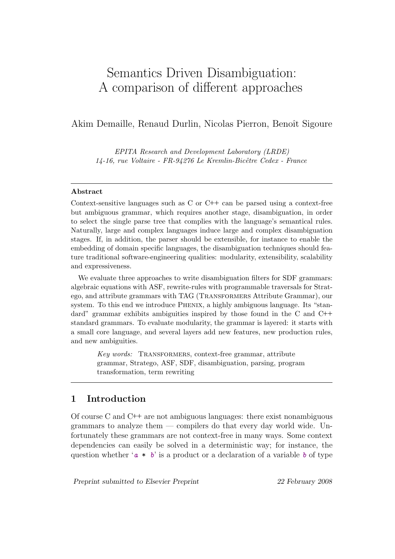# Semantics Driven Disambiguation: A comparison of different approaches

# Akim Demaille, Renaud Durlin, Nicolas Pierron, Benoît Sigoure

EPITA Research and Development Laboratory (LRDE) 14-16, rue Voltaire - FR-94276 Le Kremlin-Bicêtre Cedex - France

#### Abstract

Context-sensitive languages such as C or C++ can be parsed using a context-free but ambiguous grammar, which requires another stage, disambiguation, in order to select the single parse tree that complies with the language's semantical rules. Naturally, large and complex languages induce large and complex disambiguation stages. If, in addition, the parser should be extensible, for instance to enable the embedding of domain specific languages, the disambiguation techniques should feature traditional software-engineering qualities: modularity, extensibility, scalability and expressiveness.

We evaluate three approaches to write disambiguation filters for SDF grammars: algebraic equations with ASF, rewrite-rules with programmable traversals for Stratego, and attribute grammars with TAG (Transformers Attribute Grammar), our system. To this end we introduce Phenix, a highly ambiguous language. Its "standard" grammar exhibits ambiguities inspired by those found in the C and C++ standard grammars. To evaluate modularity, the grammar is layered: it starts with a small core language, and several layers add new features, new production rules, and new ambiguities.

Key words: TRANSFORMERS, context-free grammar, attribute grammar, Stratego, ASF, SDF, disambiguation, parsing, program transformation, term rewriting

# 1 Introduction

Of course C and C++ are not ambiguous languages: there exist nonambiguous grammars to analyze them  $-$  compilers do that every day world wide. Unfortunately these grammars are not context-free in many ways. Some context dependencies can easily be solved in a deterministic way; for instance, the question whether ' $a * b$ ' is a product or a declaration of a variable b of type

Preprint submitted to Elsevier Preprint 22 February 2008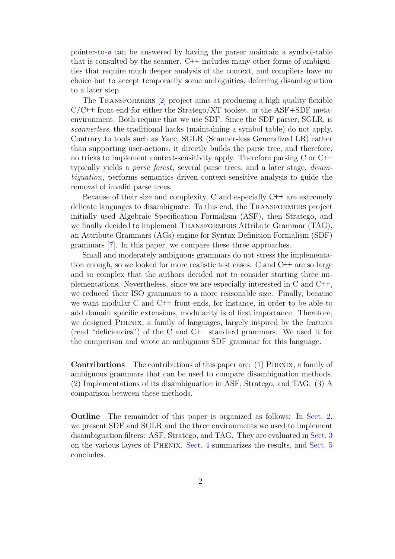pointer-to- $\alpha$  can be answered by having the parser maintain a symbol-table that is consulted by the scanner. C++ includes many other forms of ambiguities that require much deeper analysis of the context, and compilers have no choice but to accept temporarily some ambiguities, deferring disambiguation to a later step.

The TRANSFORMERS [\[2\]](#page-14-0) project aims at producing a high quality flexible  $C/C++$  front-end for either the Stratego/XT toolset, or the ASF+SDF metaenvironment. Both require that we use SDF. Since the SDF parser, SGLR, is scannerless, the traditional hacks (maintaining a symbol table) do not apply. Contrary to tools such as Yacc, SGLR (Scanner-less Generalized LR) rather than supporting user-actions, it directly builds the parse tree, and therefore, no tricks to implement context-sensitivity apply. Therefore parsing C or C++ typically yields a parse forest, several parse trees, and a later stage, disambiguation, performs semantics driven context-sensitive analysis to guide the removal of invalid parse trees.

Because of their size and complexity, C and especially  $C++$  are extremely delicate languages to disambiguate. To this end, the Transformers project initially used Algebraic Specification Formalism (ASF), then Stratego, and we finally decided to implement TRANSFORMERS Attribute Grammar (TAG), an Attribute Grammars (AGs) engine for Syntax Definition Formalism (SDF) grammars [\[7\]](#page-14-1). In this paper, we compare these three approaches.

Small and moderately ambiguous grammars do not stress the implementation enough, so we looked for more realistic test cases. C and C++ are so large and so complex that the authors decided not to consider starting three implementations. Nevertheless, since we are especially interested in C and C++, we reduced their ISO grammars to a more reasonable size. Finally, because we want modular C and C++ front-ends, for instance, in order to be able to add domain specific extensions, modularity is of first importance. Therefore, we designed Phenix, a family of languages, largely inspired by the features (read "deficiencies") of the C and C++ standard grammars. We used it for the comparison and wrote an ambiguous SDF grammar for this language.

Contributions The contributions of this paper are: (1) Phenix, a family of ambiguous grammars that can be used to compare disambiguation methods. (2) Implementations of its disambiguation in ASF, Stratego, and TAG. (3) A comparison between these methods.

Outline The remainder of this paper is organized as follows: In [Sect. 2,](#page-2-0) we present SDF and SGLR and the three environments we used to implement disambiguation filters: ASF, Stratego, and TAG. They are evaluated in [Sect. 3](#page-3-0) on the various layers of Phenix. [Sect. 4](#page-12-0) summarizes the results, and [Sect. 5](#page-13-0) concludes.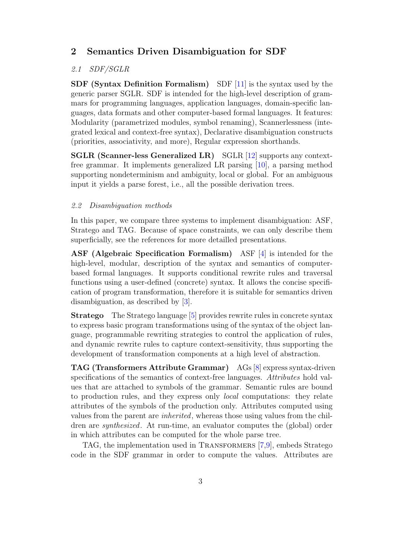# <span id="page-2-0"></span>2 Semantics Driven Disambiguation for SDF

## 2.1 SDF/SGLR

SDF (Syntax Definition Formalism) SDF [\[11\]](#page-14-2) is the syntax used by the generic parser SGLR. SDF is intended for the high-level description of grammars for programming languages, application languages, domain-specific languages, data formats and other computer-based formal languages. It features: Modularity (parametrized modules, symbol renaming), Scannerlessness (integrated lexical and context-free syntax), Declarative disambiguation constructs (priorities, associativity, and more), Regular expression shorthands.

SGLR (Scanner-less Generalized LR) SGLR [\[12\]](#page-14-3) supports any contextfree grammar. It implements generalized LR parsing [\[10\]](#page-14-4), a parsing method supporting nondeterminism and ambiguity, local or global. For an ambiguous input it yields a parse forest, i.e., all the possible derivation trees.

#### 2.2 Disambiguation methods

In this paper, we compare three systems to implement disambiguation: ASF, Stratego and TAG. Because of space constraints, we can only describe them superficially, see the references for more detailled presentations.

ASF (Algebraic Specification Formalism) ASF [\[4\]](#page-14-5) is intended for the high-level, modular, description of the syntax and semantics of computerbased formal languages. It supports conditional rewrite rules and traversal functions using a user-defined (concrete) syntax. It allows the concise specification of program transformation, therefore it is suitable for semantics driven disambiguation, as described by [\[3\]](#page-14-6).

Stratego The Stratego language [\[5\]](#page-14-7) provides rewrite rules in concrete syntax to express basic program transformations using of the syntax of the object language, programmable rewriting strategies to control the application of rules, and dynamic rewrite rules to capture context-sensitivity, thus supporting the development of transformation components at a high level of abstraction.

TAG (Transformers Attribute Grammar) AGs [\[8\]](#page-14-8) express syntax-driven specifications of the semantics of context-free languages. Attributes hold values that are attached to symbols of the grammar. Semantic rules are bound to production rules, and they express only *local* computations: they relate attributes of the symbols of the production only. Attributes computed using values from the parent are inherited, whereas those using values from the children are synthesized. At run-time, an evaluator computes the (global) order in which attributes can be computed for the whole parse tree.

TAG, the implementation used in TRANSFORMERS [\[7,](#page-14-1)[9\]](#page-14-9), embeds Stratego code in the SDF grammar in order to compute the values. Attributes are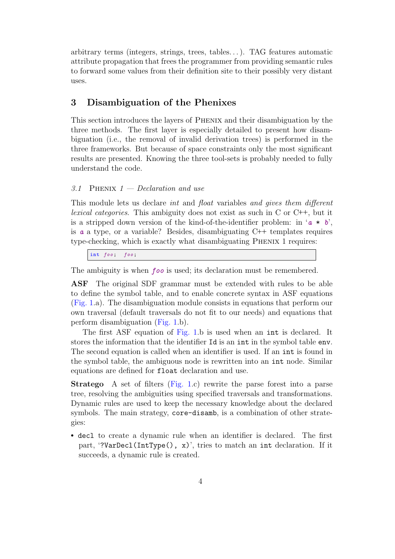arbitrary terms (integers, strings, trees, tables. . . ). TAG features automatic attribute propagation that frees the programmer from providing semantic rules to forward some values from their definition site to their possibly very distant uses.

# <span id="page-3-0"></span>3 Disambiguation of the Phenixes

This section introduces the layers of Phenix and their disambiguation by the three methods. The first layer is especially detailed to present how disambiguation (i.e., the removal of invalid derivation trees) is performed in the three frameworks. But because of space constraints only the most significant results are presented. Knowing the three tool-sets is probably needed to fully understand the code.

### 3.1 PHENIX  $1 - Declaration$  and use

This module lets us declare *int* and *float* variables and gives them different lexical categories. This ambiguity does not exist as such in C or C++, but it is a stripped down version of the kind-of-the-identifier problem: in ' $a * b'$ , is a a type, or a variable? Besides, disambiguating  $C++$  templates requires type-checking, which is exactly what disambiguating Phenix 1 requires:

int  $foo$ ;  $foo$ ;

The ambiguity is when *foo* is used; its declaration must be remembered.

ASF The original SDF grammar must be extended with rules to be able to define the symbol table, and to enable concrete syntax in ASF equations [\(Fig. 1.](#page-4-0)a). The disambiguation module consists in equations that perform our own traversal (default traversals do not fit to our needs) and equations that perform disambiguation [\(Fig. 1.](#page-4-0)b).

The first ASF equation of [Fig. 1.](#page-4-0)b is used when an int is declared. It stores the information that the identifier Id is an int in the symbol table env. The second equation is called when an identifier is used. If an int is found in the symbol table, the ambiguous node is rewritten into an int node. Similar equations are defined for float declaration and use.

Stratego A set of filters [\(Fig. 1.](#page-4-0)c) rewrite the parse forest into a parse tree, resolving the ambiguities using specified traversals and transformations. Dynamic rules are used to keep the necessary knowledge about the declared symbols. The main strategy, core-disamb, is a combination of other strategies:

• decl to create a dynamic rule when an identifier is declared. The first part, '?VarDecl(IntType(),  $x$ )', tries to match an int declaration. If it succeeds, a dynamic rule is created.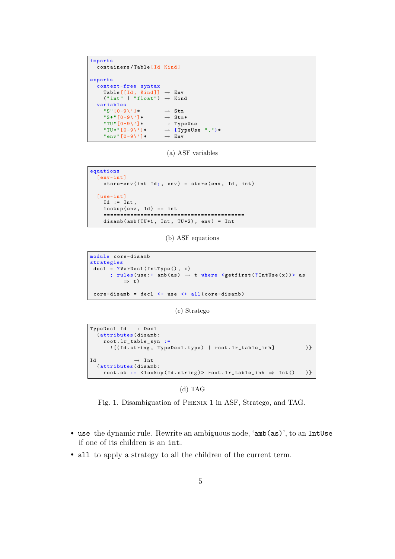```
imports
   containers/Table [Id Kind]
exports
  context-free syntax
       Table [[Id, Kind]] \rightarrow Env('int' | "float") \rightarrow Kind
   variables
      "S" [0-9\}'] * \rightarrow Stm<br>"S*" [0-9\}'] * \rightarrow Stm*"S*"[0-9\}']*"TU" [0-9\}'] * \rightarrow TypeUse<br>"TU*" [0-9\}'] * \rightarrow {TypeUs}\rightarrow {TypeUse ","}*<br>
\rightarrow Env
      " env" [0-9\}'] *
```
(a) ASF variables

```
equations
  [env-int]
    store-env (int Id;, env) = store (env, Id, int)
  [ use-int ]
    Id := Int,lookup(env, Id) == int==========================================
    disamb (amb (TU*1, Int, TU*2), env) = Int
```
(b) ASF equations

```
module core-disamb
strategies
\texttt{decl} = ? \texttt{VarDecl}(\texttt{IntType}(), x); rules (use: + amb (as) \rightarrow t where <getfirst (?IntUse(x))> as
            ⇒ t)
 core-disamb = decl < + use < + all(core-disamb)
```
(c) Stratego

```
TypeDecl Id \rightarrow Decl
  { attributes ( disamb :
    root . lr_table_syn :=
       ![(Id.string, TypeDecl.type) | root.lr_table_inh] )}
Id \longrightarrow Int{ attributes ( disamb :
    root \cdot ok := \langle 1ookup (Id . string) \rangle root . Ir\_table\_inh \Rightarrow Int() )
```
(d) TAG

<span id="page-4-0"></span>Fig. 1. Disambiguation of Phenix 1 in ASF, Stratego, and TAG.

- use the dynamic rule. Rewrite an ambiguous node, 'amb(as)', to an IntUse if one of its children is an int.
- all to apply a strategy to all the children of the current term.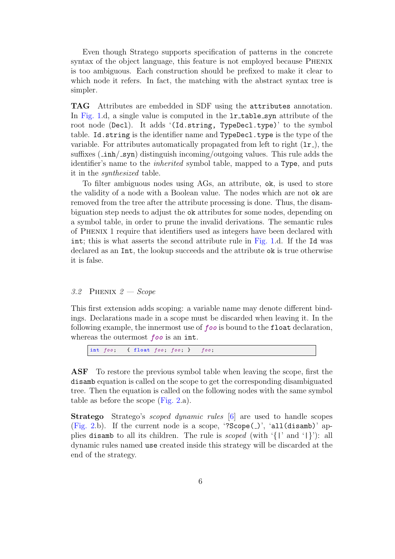Even though Stratego supports specification of patterns in the concrete syntax of the object language, this feature is not employed because Phenix is too ambiguous. Each construction should be prefixed to make it clear to which node it refers. In fact, the matching with the abstract syntax tree is simpler.

TAG Attributes are embedded in SDF using the attributes annotation. In [Fig. 1.](#page-4-0)d, a single value is computed in the **lr\_table\_syn** attribute of the root node (Decl). It adds '(Id.string, TypeDecl.type)' to the symbol table. Id.string is the identifier name and TypeDecl.type is the type of the variable. For attributes automatically propagated from left to right  $(1r<sub>-</sub>)$ , the suffixes  $(\pm \text{inh}/\text{syn})$  distinguish incoming/outgoing values. This rule adds the identifier's name to the inherited symbol table, mapped to a Type, and puts it in the synthesized table.

To filter ambiguous nodes using AGs, an attribute, ok, is used to store the validity of a node with a Boolean value. The nodes which are not ok are removed from the tree after the attribute processing is done. Thus, the disambiguation step needs to adjust the ok attributes for some nodes, depending on a symbol table, in order to prune the invalid derivations. The semantic rules of Phenix 1 require that identifiers used as integers have been declared with int; this is what asserts the second attribute rule in [Fig. 1.](#page-4-0)d. If the Id was declared as an Int, the lookup succeeds and the attribute ok is true otherwise it is false.

#### 3.2 PHENIX  $2 - \text{Scope}$

This first extension adds scoping: a variable name may denote different bindings. Declarations made in a scope must be discarded when leaving it. In the following example, the innermost use of foo is bound to the float declaration, whereas the outermost foo is an int.

int  $foo$ ; { float  $foo$ ;  $foo$ ; }  $foo$ ;

ASF To restore the previous symbol table when leaving the scope, first the disamb equation is called on the scope to get the corresponding disambiguated tree. Then the equation is called on the following nodes with the same symbol table as before the scope [\(Fig. 2.](#page-6-0)a).

Stratego Stratego's scoped dynamic rules [\[6\]](#page-14-10) are used to handle scopes [\(Fig. 2.](#page-6-0)b). If the current node is a scope, '?Scope( $)$ ', 'all(disamb)' applies disamb to all its children. The rule is scoped (with '{|' and '|}'): all dynamic rules named use created inside this strategy will be discarded at the end of the strategy.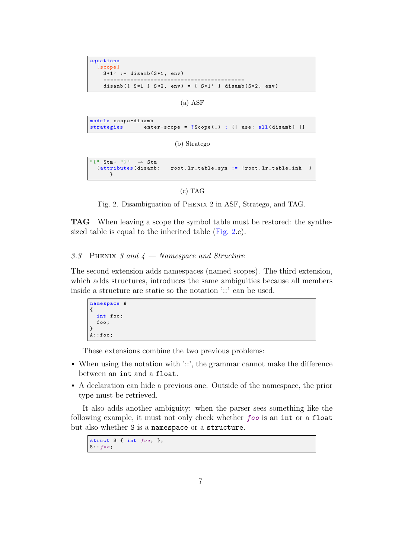```
equations
  [ scope ]
    S*1' := disamb (S*1, env)==========================================
    disamb ( { S * 1 }  } S * 2, env) = { S * 1 }  } disamb (S * 2, env)
```
(a) ASF

```
module scope-disamb
strategies enter-scope = ? Scope(_) ; {| use: all(disamb) |}
```
(b) Stratego

```
"\{" Stm + "\}" \rightarrow Stm<br>{attributes(disamb:
                                    root.lr_table_spn := 'root.lr_table_inh )}
```
(c) TAG

```
Fig. 2. Disambiguation of Phenix 2 in ASF, Stratego, and TAG.
```
TAG When leaving a scope the symbol table must be restored: the synthesized table is equal to the inherited table [\(Fig. 2.](#page-6-0)c).

## 3.3 PHENIX 3 and  $4$  — Namespace and Structure

The second extension adds namespaces (named scopes). The third extension, which adds structures, introduces the same ambiguities because all members inside a structure are static so the notation '::' can be used.

```
namespace A
{
  int foo ;
  foo ;
}
A : f \circ \circ;
```
These extensions combine the two previous problems:

- When using the notation with '::', the grammar cannot make the difference between an int and a float.
- A declaration can hide a previous one. Outside of the namespace, the prior type must be retrieved.

It also adds another ambiguity: when the parser sees something like the following example, it must not only check whether foo is an int or a float but also whether S is a namespace or a structure.

struct  $S \{ int foo; \}$ ;  $S$ : :  $f \circ o$ ;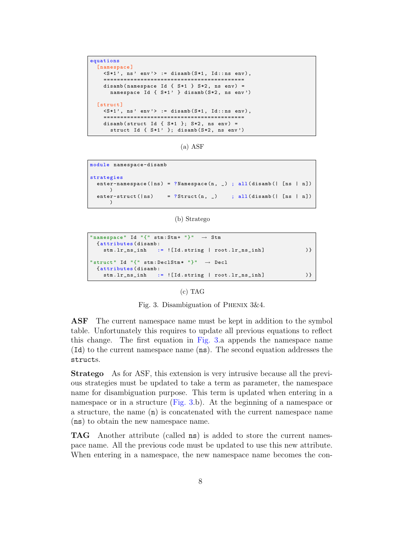```
equations
  [namespace]
    \langle S*1 \rangle, ns' env'> := disamb (S*1, Id::ns env),
    ==========================================
    disamb (namespace Id \{ S * 1 \} S * 2, ns env) =
      namespace Id { S*1' } disamb (S*2, ns env')
  [struct]
    \langle S*1', ns' env'> := disamb (S*1, Id::ns env),
    ==========================================
    disamb ( struct Id { S *1 }; S *2 , ns env ) =
       struct Id { S*1' }; disamb(S*2, ns env')
```
(a) ASF

```
module namespace-disamb
strategies
  enter-namespace (| ns ) = ? Namespace (n, _) ; all (disamb (| [ ns | n])
      )
  enter-struct (ln s) = ?Struct(n, ) ; all (disamb(| [ns | n])
      \lambda
```
(b) Stratego

```
" namespace" Id "\{" stm: Stm + "\}" \rightarrow Stm
  {attributes (disamb:<br>stm.lr_ns_inh :
                    s := ![Id.starting | root.lr_ns_inh] ) }
" struct" Id "{" stm: DeclStm * "}" \rightarrow Decl
  { attributes ( disamb :
    stm.lr_ns_inh := ![Id.string | root.lr_ns_inh] )}
```
#### <span id="page-7-0"></span>(c) TAG

Fig. 3. Disambiguation of Phenix 3&4.

ASF The current namespace name must be kept in addition to the symbol table. Unfortunately this requires to update all previous equations to reflect this change. The first equation in [Fig. 3.](#page-7-0)a appends the namespace name (Id) to the current namespace name (ns). The second equation addresses the structs.

Stratego As for ASF, this extension is very intrusive because all the previous strategies must be updated to take a term as parameter, the namespace name for disambiguation purpose. This term is updated when entering in a namespace or in a structure [\(Fig. 3.](#page-7-0)b). At the beginning of a namespace or a structure, the name (n) is concatenated with the current namespace name (ns) to obtain the new namespace name.

TAG Another attribute (called ns) is added to store the current namespace name. All the previous code must be updated to use this new attribute. When entering in a namespace, the new namespace name becomes the con-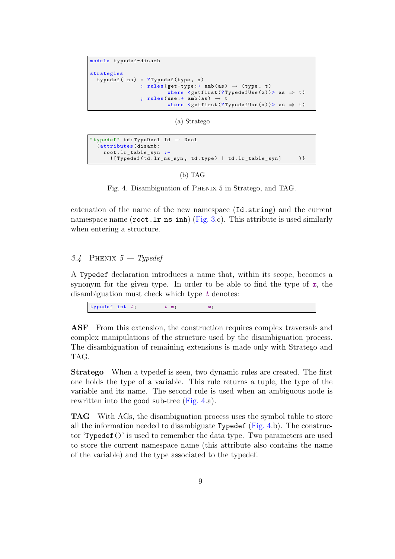```
module typedef-disamb
strategies
  typedef (|ns) = ?Typedef (type, x)
                   ; rules (get-type: + amb (as) \rightarrow (type, t)
                             where \leqgetfirst (? TypedefUse (x)) > as \Rightarrow t)
                   ; rules (use: + amb (as) \rightarrow t
                             where \leqgetfirst (? TypedefUse (x)) > as \Rightarrow t)
```
(a) Stratego

```
" typedef" td:TypeDec1 Id \rightarrow Decl
  { attributes ( disamb :
    root . lr_table_syn :=
      ![Typedef (td. lr_ns_syn, td. type) | td. lr_table_syn] )}
```
#### (b) TAG

<span id="page-8-0"></span>Fig. 4. Disambiguation of Phenix 5 in Stratego, and TAG.

catenation of the name of the new namespace (Id.string) and the current namespace name  $(root \cdot l \cdot n \cdot \text{sinh})$  [\(Fig. 3.](#page-7-0)c). This attribute is used similarly when entering a structure.

# 3.4 PHENIX  $5$  – Typedef

A Typedef declaration introduces a name that, within its scope, becomes a synonym for the given type. In order to be able to find the type of  $x$ , the disambiguation must check which type  $t$  denotes:

| typedef int $t$ ;<br>$t\,$ $x$ |  |
|--------------------------------|--|
|--------------------------------|--|

ASF From this extension, the construction requires complex traversals and complex manipulations of the structure used by the disambiguation process. The disambiguation of remaining extensions is made only with Stratego and TAG.

Stratego When a typedef is seen, two dynamic rules are created. The first one holds the type of a variable. This rule returns a tuple, the type of the variable and its name. The second rule is used when an ambiguous node is rewritten into the good sub-tree [\(Fig. 4.](#page-8-0)a).

TAG With AGs, the disambiguation process uses the symbol table to store all the information needed to disambiguate Typedef ( $Fig. 4.b$ ). The constructor 'Typedef()' is used to remember the data type. Two parameters are used to store the current namespace name (this attribute also contains the name of the variable) and the type associated to the typedef.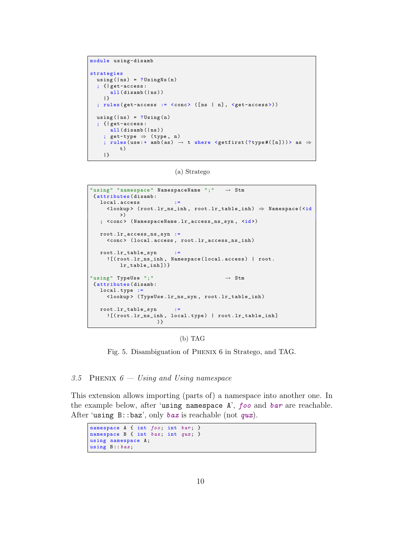```
module using-disamb
strategies
  using (|ns) = ?UsingNs(n); {| get-access :
      all (disamb(|ns))
    |}
  ; rules ( get-access := <conc > ([ ns | n], <get-access >) )
  using (|ns) = ?Using(n); {| get-access :
      all (disamb(|ns))
    ; get-type \Rightarrow (type, n)
    ; rules (use:+ amb(as) \rightarrow t where <getfirst(?type#([n]))> as \Rightarrowt)
    |}
```
(a) Stratego

```
" using " " namespace " N amespaceName "; " \rightarrow Stm
 { attributes ( disamb :
   local . access :=
     \langlelookup> (root.lr_ns_inh, root.lr_table_inh) \Rightarrow Namespace (\leq id)\rightarrow)
   ; < conc > ( NamespaceName . lr_access_ns_syn , <id >)
   root . lr_access_ns_syn :=
     <conc > ( local . access , root . lr_access_ns_inh )
   root . lr_table_syn :=
     ![( root . lr_ns_inh , Namespace ( local . access ) | root .
         lr\_table\_inh])}
"using "TypeUse ";" \rightarrow Stm
{ attributes ( disamb :
  local.type :=
     < lookup > ( TypeUse . lr_ns_syn , root . lr_table_inh )
   root . lr_table_syn :=
     ![(root.lr_ns_inh, local.type) | root.lr_table_inh]
                     )}
```
#### (b) TAG

<span id="page-9-0"></span>Fig. 5. Disambiguation of Phenix 6 in Stratego, and TAG.

#### 3.5 PHENIX  $6 - Using$  and Using namespace

This extension allows importing (parts of) a namespace into another one. In the example below, after 'using namespace A', foo and bar are reachable. After 'using  $B$ ::baz', only baz is reachable (not qux).

```
namespace A { int foo; int bar; }
namespace B { int baz; int qux; }
using namespace A;
using B:: baz;
```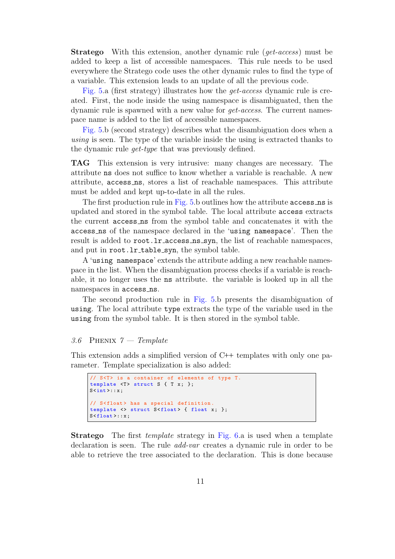**Stratego** With this extension, another dynamic rule (*get-access*) must be added to keep a list of accessible namespaces. This rule needs to be used everywhere the Stratego code uses the other dynamic rules to find the type of a variable. This extension leads to an update of all the previous code.

[Fig. 5.](#page-9-0)a (first strategy) illustrates how the get-access dynamic rule is created. First, the node inside the using namespace is disambiguated, then the dynamic rule is spawned with a new value for *get-access*. The current namespace name is added to the list of accessible namespaces.

[Fig. 5.](#page-9-0)b (second strategy) describes what the disambiguation does when a using is seen. The type of the variable inside the using is extracted thanks to the dynamic rule get-type that was previously defined.

TAG This extension is very intrusive: many changes are necessary. The attribute ns does not suffice to know whether a variable is reachable. A new attribute, access ns, stores a list of reachable namespaces. This attribute must be added and kept up-to-date in all the rules.

The first production rule in [Fig. 5.](#page-9-0)b outlines how the attribute access ns is updated and stored in the symbol table. The local attribute access extracts the current access ns from the symbol table and concatenates it with the access ns of the namespace declared in the 'using namespace'. Then the result is added to root.lr\_access\_ns\_syn, the list of reachable namespaces, and put in root.lr\_table\_syn, the symbol table.

A 'using namespace' extends the attribute adding a new reachable namespace in the list. When the disambiguation process checks if a variable is reachable, it no longer uses the ns attribute. the variable is looked up in all the namespaces in access ns.

The second production rule in [Fig. 5.](#page-9-0)b presents the disambiguation of using. The local attribute type extracts the type of the variable used in the using from the symbol table. It is then stored in the symbol table.

#### 3.6 PHENIX  $7$  – Template

This extension adds a simplified version of C++ templates with only one parameter. Template specialization is also added:

```
// S<T> is a container of elements of type T.
template (T > struct S { T x; };
S <int >:: x;
// S<float> has a special definition.
template <> struct S<float > { float x; };
S < float >:: x;
```
**Stratego** The first *template* strategy in [Fig. 6.](#page-11-0)a is used when a template declaration is seen. The rule *add-var* creates a dynamic rule in order to be able to retrieve the tree associated to the declaration. This is done because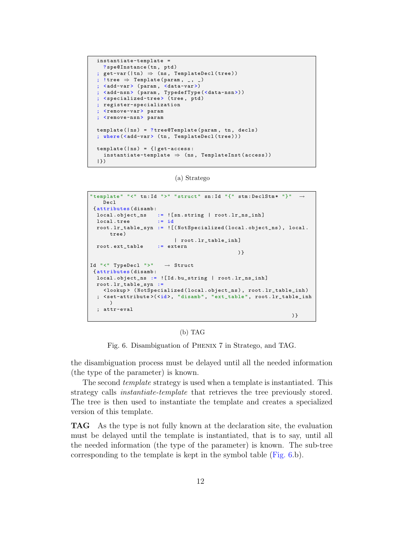```
instantiate-template =
  ? spe@Instance (tn, ptd)
; get-var ( |tn) \Rightarrow (ns, TemplateDec1 (tree)); !tree \Rightarrow Template (param, \overline{\ }, \overline{\ })
; <add-var> (param, <data-var>)
; <add-nsn> (param, TypedefType (<data-nsn>))
; < specialized-tree> (tree, ptd)
; register-specialization
  ; <remove-var > param
; <remove-nsn> param
template (| ns) = ?tree@Template (param, tn, decls); where (<add-var> (tn, TemplateDecl (tree)))
template(|ns) = \{ | get-access:\texttt{instantiate-template} \Rightarrow (ns, TemplateInst (access))
|})
```

```
(a) Stratego
```

```
"template" "<" tn:Id ">" "struct" sn:Id "{" stm:DeclStm* "}"
    Decl
 { attributes ( disamb :
  \begin{array}{lllll} \texttt{local.object\_ns} & := & \texttt{[:sn.string} & \texttt{root.lr\_ns\_inh]} \\ \texttt{local.tree} & := & \texttt{id} & \end{array}local.tree
  root . lr_table_syn := ![( NotSpecialized ( local . object_ns ) , local .
       trab)| root . lr_table_inh ]
  root.ext table := extern
                                                        )}
Id "<" TypeDecl ">" → Struct
 { attributes ( disamb :
  local . object_ns := ![ Id . bu_string | root . lr_ns_inh ]
  root . lr_table_syn :=
     < lookup > ( NotSpecialized ( local . object_ns ) , root . lr_table_inh )
  ; <set-attribute>(<id>, "disamb", "ext_table", root.lr_table_inh
       )
  ; attr-eval
                                                                             )}
```
(b) TAG

<span id="page-11-0"></span>Fig. 6. Disambiguation of Phenix 7 in Stratego, and TAG.

the disambiguation process must be delayed until all the needed information (the type of the parameter) is known.

The second *template* strategy is used when a template is instantiated. This strategy calls instantiate-template that retrieves the tree previously stored. The tree is then used to instantiate the template and creates a specialized version of this template.

TAG As the type is not fully known at the declaration site, the evaluation must be delayed until the template is instantiated, that is to say, until all the needed information (the type of the parameter) is known. The sub-tree corresponding to the template is kept in the symbol table [\(Fig. 6.](#page-11-0)b).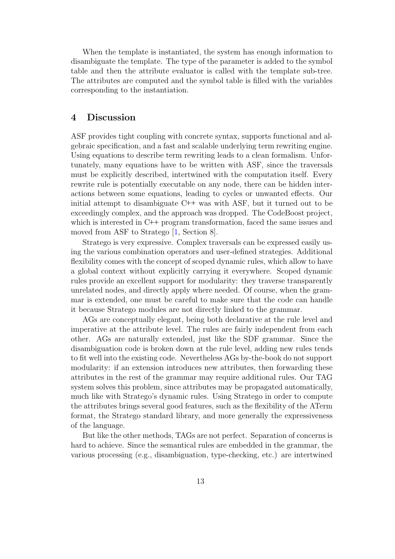When the template is instantiated, the system has enough information to disambiguate the template. The type of the parameter is added to the symbol table and then the attribute evaluator is called with the template sub-tree. The attributes are computed and the symbol table is filled with the variables corresponding to the instantiation.

# <span id="page-12-0"></span>4 Discussion

ASF provides tight coupling with concrete syntax, supports functional and algebraic specification, and a fast and scalable underlying term rewriting engine. Using equations to describe term rewriting leads to a clean formalism. Unfortunately, many equations have to be written with ASF, since the traversals must be explicitly described, intertwined with the computation itself. Every rewrite rule is potentially executable on any node, there can be hidden interactions between some equations, leading to cycles or unwanted effects. Our initial attempt to disambiguate C++ was with ASF, but it turned out to be exceedingly complex, and the approach was dropped. The CodeBoost project, which is interested in C++ program transformation, faced the same issues and moved from ASF to Stratego [\[1,](#page-13-1) Section 8].

Stratego is very expressive. Complex traversals can be expressed easily using the various combination operators and user-defined strategies. Additional flexibility comes with the concept of scoped dynamic rules, which allow to have a global context without explicitly carrying it everywhere. Scoped dynamic rules provide an excellent support for modularity: they traverse transparently unrelated nodes, and directly apply where needed. Of course, when the grammar is extended, one must be careful to make sure that the code can handle it because Stratego modules are not directly linked to the grammar.

AGs are conceptually elegant, being both declarative at the rule level and imperative at the attribute level. The rules are fairly independent from each other. AGs are naturally extended, just like the SDF grammar. Since the disambiguation code is broken down at the rule level, adding new rules tends to fit well into the existing code. Nevertheless AGs by-the-book do not support modularity: if an extension introduces new attributes, then forwarding these attributes in the rest of the grammar may require additional rules. Our TAG system solves this problem, since attributes may be propagated automatically, much like with Stratego's dynamic rules. Using Stratego in order to compute the attributes brings several good features, such as the flexibility of the ATerm format, the Stratego standard library, and more generally the expressiveness of the language.

But like the other methods, TAGs are not perfect. Separation of concerns is hard to achieve. Since the semantical rules are embedded in the grammar, the various processing (e.g., disambiguation, type-checking, etc.) are intertwined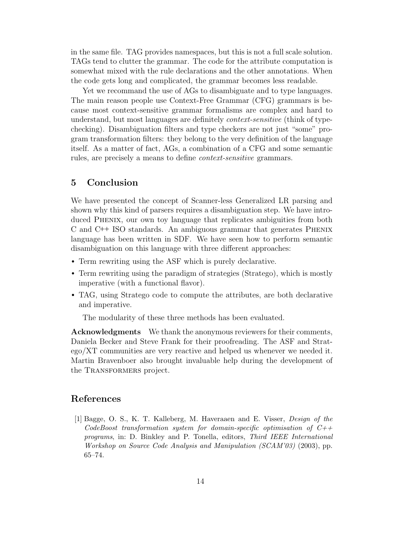in the same file. TAG provides namespaces, but this is not a full scale solution. TAGs tend to clutter the grammar. The code for the attribute computation is somewhat mixed with the rule declarations and the other annotations. When the code gets long and complicated, the grammar becomes less readable.

Yet we recommand the use of AGs to disambiguate and to type languages. The main reason people use Context-Free Grammar (CFG) grammars is because most context-sensitive grammar formalisms are complex and hard to understand, but most languages are definitely *context-sensitive* (think of typechecking). Disambiguation filters and type checkers are not just "some" program transformation filters: they belong to the very definition of the language itself. As a matter of fact, AGs, a combination of a CFG and some semantic rules, are precisely a means to define context-sensitive grammars.

# <span id="page-13-0"></span>5 Conclusion

We have presented the concept of Scanner-less Generalized LR parsing and shown why this kind of parsers requires a disambiguation step. We have introduced Phenix, our own toy language that replicates ambiguities from both C and C++ ISO standards. An ambiguous grammar that generates Phenix language has been written in SDF. We have seen how to perform semantic disambiguation on this language with three different approaches:

- Term rewriting using the ASF which is purely declarative.
- Term rewriting using the paradigm of strategies (Stratego), which is mostly imperative (with a functional flavor).
- TAG, using Stratego code to compute the attributes, are both declarative and imperative.

The modularity of these three methods has been evaluated.

Acknowledgments We thank the anonymous reviewers for their comments, Daniela Becker and Steve Frank for their proofreading. The ASF and Stratego/XT communities are very reactive and helped us whenever we needed it. Martin Bravenboer also brought invaluable help during the development of the Transformers project.

# References

<span id="page-13-1"></span>[1] Bagge, O. S., K. T. Kalleberg, M. Haveraaen and E. Visser, Design of the CodeBoost transformation system for domain-specific optimisation of  $C++$ programs, in: D. Binkley and P. Tonella, editors, Third IEEE International Workshop on Source Code Analysis and Manipulation (SCAM'03) (2003), pp. 65–74.